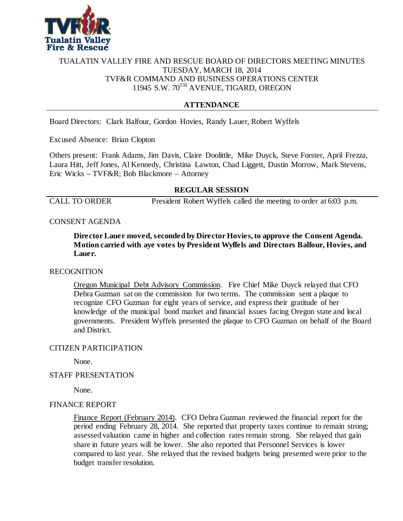

# TUALATIN VALLEY FIRE AND RESCUE BOARD OF DIRECTORS MEETING MINUTES TUESDAY, MARCH 18, 2014 TVF&R COMMAND AND BUSINESS OPERATIONS CENTER 11945 S.W. 70TH AVENUE, TIGARD, OREGON

# **ATTENDANCE**

Board Directors: Clark Balfour, Gordon Hovies, Randy Lauer, Robert Wyffels

Excused Absence: Brian Clopton

Others present: Frank Adams, Jim Davis, Claire Doolittle, Mike Duyck, Steve Forster, April Frezza, Laura Hitt, Jeff Jones, Al Kennedy, Christina Lawton, Chad Liggett, Dustin Morrow, Mark Stevens, Eric Wicks – TVF&R; Bob Blackmore – Attorney

# **REGULAR SESSION**

CALL TO ORDER President Robert Wyffels called the meeting to order at 6:03 p.m.

# CONSENT AGENDA

**Director Lauer moved, seconded by Director Hovies,to approve the Consent Agenda. Motion carried with aye votes by President Wyffels and Directors Balfour, Hovies, and Lauer.**

# RECOGNITION

Oregon Municipal Debt Advisory Commission. Fire Chief Mike Duyck relayed that CFO Debra Guzman sat on the commission for two terms. The commission sent a plaque to recognize CFO Guzman for eight years of service, and express their gratitude of her knowledge of the municipal bond market and financial issues facing Oregon state and local governments. President Wyffels presented the plaque to CFO Guzman on behalf of the Board and District.

### CITIZEN PARTICIPATION

None.

# STAFF PRESENTATION

None.

#### FINANCE REPORT

Finance Report (February 2014). CFO Debra Guzman reviewed the financial report for the period ending February 28, 2014. She reported that property taxes continue to remain strong; assessed valuation came in higher and collection rates remain strong. She relayed that gain share in future years will be lower. She also reported that Personnel Services is lower compared to last year. She relayed that the revised budgets being presented were prior to the budget transfer resolution.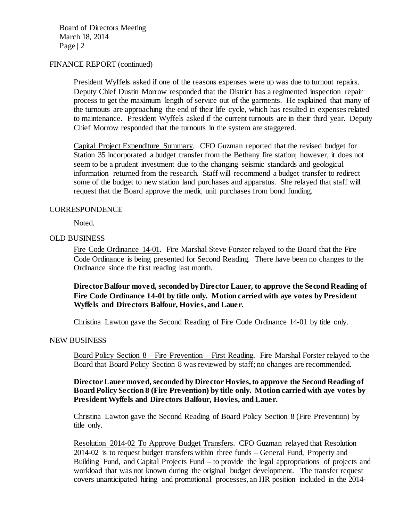Board of Directors Meeting March 18, 2014 Page | 2

#### FINANCE REPORT (continued)

President Wyffels asked if one of the reasons expenses were up was due to turnout repairs. Deputy Chief Dustin Morrow responded that the District has a regimented inspection repair process to get the maximum length of service out of the garments. He explained that many of the turnouts are approaching the end of their life cycle, which has resulted in expenses related to maintenance. President Wyffels asked if the current turnouts are in their third year. Deputy Chief Morrow responded that the turnouts in the system are staggered.

Capital Project Expenditure Summary. CFO Guzman reported that the revised budget for Station 35 incorporated a budget transfer from the Bethany fire station; however, it does not seem to be a prudent investment due to the changing seismic standards and geological information returned from the research. Staff will recommend a budget transfer to redirect some of the budget to new station land purchases and apparatus. She relayed that staff will request that the Board approve the medic unit purchases from bond funding.

### **CORRESPONDENCE**

Noted.

# OLD BUSINESS

Fire Code Ordinance 14-01. Fire Marshal Steve Forster relayed to the Board that the Fire Code Ordinance is being presented for Second Reading. There have been no changes to the Ordinance since the first reading last month.

# **Director Balfour moved, seconded by Director Lauer, to approve the Second Reading of Fire Code Ordinance 14-01 by title only. Motion carried with aye votes by President Wyffels and Directors Balfour, Hovies, and Lauer.**

Christina Lawton gave the Second Reading of Fire Code Ordinance 14-01 by title only.

#### NEW BUSINESS

Board Policy Section 8 – Fire Prevention – First Reading. Fire Marshal Forster relayed to the Board that Board Policy Section 8 was reviewed by staff; no changes are recommended.

# **Director Lauer moved, seconded by Director Hovies, to approve the Second Reading of Board Policy Section 8 (Fire Prevention) by title only. Motion carried with aye votes by President Wyffels and Directors Balfour, Hovies, and Lauer.**

Christina Lawton gave the Second Reading of Board Policy Section 8 (Fire Prevention) by title only.

Resolution 2014-02 To Approve Budget Transfers. CFO Guzman relayed that Resolution 2014-02 is to request budget transfers within three funds – General Fund, Property and Building Fund, and Capital Projects Fund – to provide the legal appropriations of projects and workload that was not known during the original budget development. The transfer request covers unanticipated hiring and promotional processes, an HR position included in the 2014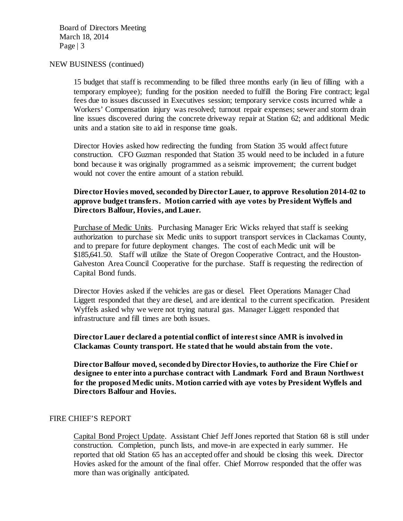Board of Directors Meeting March 18, 2014 Page  $|3$ 

#### NEW BUSINESS (continued)

15 budget that staff is recommending to be filled three months early (in lieu of filling with a temporary employee); funding for the position needed to fulfill the Boring Fire contract; legal fees due to issues discussed in Executives session; temporary service costs incurred while a Workers' Compensation injury was resolved; turnout repair expenses; sewer and storm drain line issues discovered during the concrete driveway repair at Station 62; and additional Medic units and a station site to aid in response time goals.

Director Hovies asked how redirecting the funding from Station 35 would affect future construction. CFO Guzman responded that Station 35 would need to be included in a future bond because it was originally programmed as a seismic improvement; the current budget would not cover the entire amount of a station rebuild.

# **Director Hovies moved, seconded by Director Lauer, to approve Resolution 2014-02 to approve budget transfers. Motion carried with aye votes by President Wyffels and Directors Balfour, Hovies, and Lauer.**

Purchase of Medic Units. Purchasing Manager Eric Wicks relayed that staff is seeking authorization to purchase six Medic units to support transport services in Clackamas County, and to prepare for future deployment changes. The cost of each Medic unit will be \$185,641.50. Staff will utilize the State of Oregon Cooperative Contract, and the Houston-Galveston Area Council Cooperative for the purchase. Staff is requesting the redirection of Capital Bond funds.

Director Hovies asked if the vehicles are gas or diesel. Fleet Operations Manager Chad Liggett responded that they are diesel, and are identical to the current specification. President Wyffels asked why we were not trying natural gas. Manager Liggett responded that infrastructure and fill times are both issues.

# **Director Lauer declared a potential conflict of interest since AMR is involved in Clackamas County transport. He stated that he would abstain from the vote.**

**Director Balfour moved, seconded by Director Hovies, to authorize the Fire Chief or designee to enter into a purchase contract with Landmark Ford and Braun Northwest for the proposed Medic units. Motion carried with aye votes by President Wyffels and Directors Balfour and Hovies.**

# FIRE CHIEF'S REPORT

Capital Bond Project Update. Assistant Chief Jeff Jones reported that Station 68 is still under construction. Completion, punch lists, and move-in are expected in early summer. He reported that old Station 65 has an accepted offer and should be closing this week. Director Hovies asked for the amount of the final offer. Chief Morrow responded that the offer was more than was originally anticipated.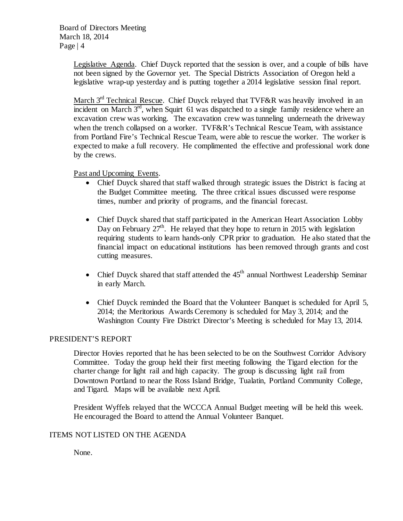Legislative Agenda. Chief Duyck reported that the session is over, and a couple of bills have not been signed by the Governor yet. The Special Districts Association of Oregon held a legislative wrap-up yesterday and is putting together a 2014 legislative session final report.

March  $3<sup>rd</sup>$  Technical Rescue. Chief Duyck relayed that TVF&R was heavily involved in an incident on March  $3<sup>rd</sup>$ , when Squirt 61 was dispatched to a single family residence where an excavation crew was working. The excavation crew was tunneling underneath the driveway when the trench collapsed on a worker. TVF&R's Technical Rescue Team, with assistance from Portland Fire's Technical Rescue Team, were able to rescue the worker. The worker is expected to make a full recovery. He complimented the effective and professional work done by the crews.

Past and Upcoming Events.

- Chief Duyck shared that staff walked through strategic issues the District is facing at the Budget Committee meeting. The three critical issues discussed were response times, number and priority of programs, and the financial forecast.
- Chief Duyck shared that staff participated in the American Heart Association Lobby Day on February  $27<sup>th</sup>$ . He relayed that they hope to return in 2015 with legislation requiring students to learn hands-only CPR prior to graduation. He also stated that the financial impact on educational institutions has been removed through grants and cost cutting measures.
- Chief Duyck shared that staff attended the  $45<sup>th</sup>$  annual Northwest Leadership Seminar in early March.
- Chief Duyck reminded the Board that the Volunteer Banquet is scheduled for April 5, 2014; the Meritorious Awards Ceremony is scheduled for May 3, 2014; and the Washington County Fire District Director's Meeting is scheduled for May 13, 2014.

# PRESIDENT'S REPORT

Director Hovies reported that he has been selected to be on the Southwest Corridor Advisory Committee. Today the group held their first meeting following the Tigard election for the charter change for light rail and high capacity. The group is discussing light rail from Downtown Portland to near the Ross Island Bridge, Tualatin, Portland Community College, and Tigard. Maps will be available next April.

President Wyffels relayed that the WCCCA Annual Budget meeting will be held this week. He encouraged the Board to attend the Annual Volunteer Banquet.

# ITEMS NOT LISTED ON THE AGENDA

None.